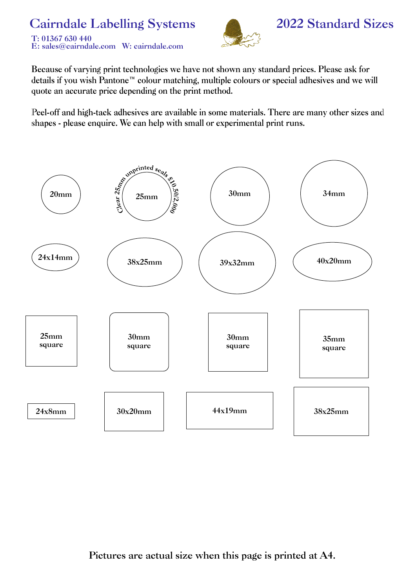#### **Cairndale Labelling Systems** T: 01367 630 440 E: sales@cairndale.com W: cairndale.com



### **2022 Standard Sizes**

Because of varying print technologies we have not shown any standard prices. Please ask for details if you wish Pantone™ colour matching, multiple colours or special adhesives and we will quote an accurate price depending on the print method.

Peel-off and high-tack adhesives are available in some materials. There are many other sizes and shapes - please enquire. We can help with small or experimental print runs.

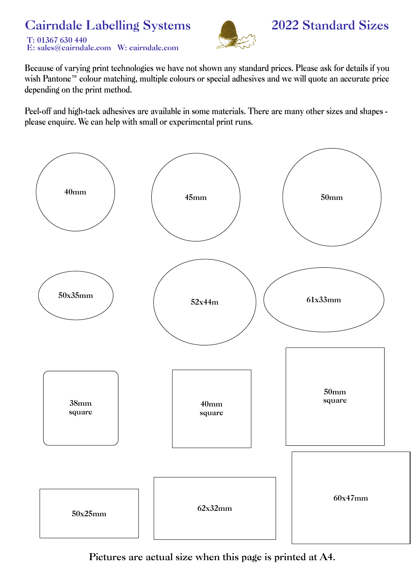## **Cairndale Labelling Systems**





### 2022 Standard Sizes

Because of varying print technologies we have not shown any standard prices. Please ask for details if you wish Pantone<sup>™</sup> colour matching, multiple colours or special adhesives and we will quote an accurate price depending on the print method.

Peel-off and high-tack adhesives are available in some materials. There are many other sizes and shapes please enquire. We can help with small or experimental print runs.

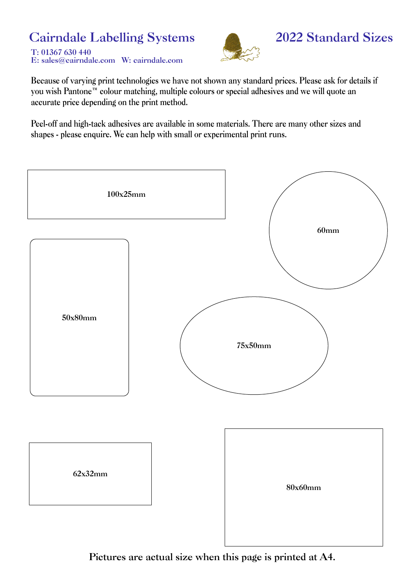# **Cairndale Labelling Systems**

T: 01367 630 440 E: sales@cairndale.com W: cairndale.com



### 2022 Standard Sizes

Because of varying print technologies we have not shown any standard prices. Please ask for details if you wish Pantone™ colour matching, multiple colours or special adhesives and we will quote an accurate price depending on the print method.

Peel-off and high-tack adhesives are available in some materials. There are many other sizes and shapes - please enquire. We can help with small or experimental print runs.